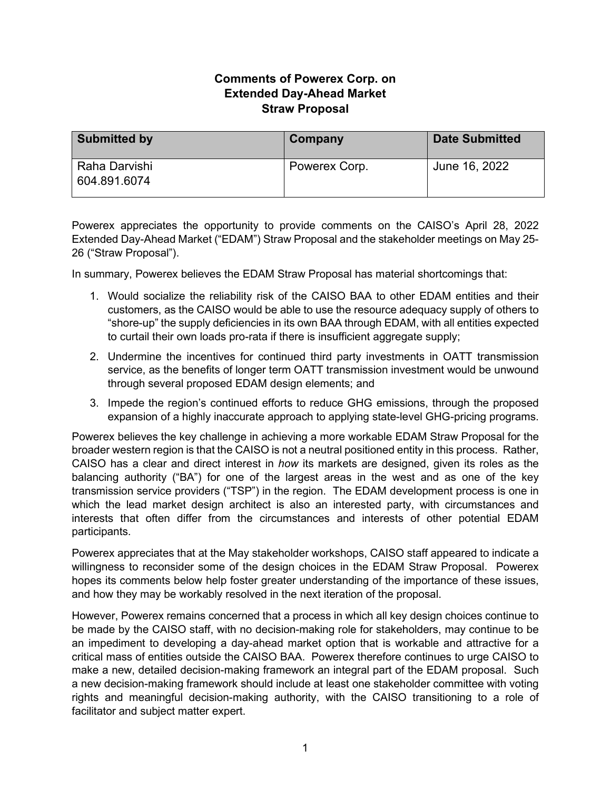## **Comments of Powerex Corp. on Extended Day-Ahead Market Straw Proposal**

| <b>Submitted by</b>           | Company       | <b>Date Submitted</b> |
|-------------------------------|---------------|-----------------------|
| Raha Darvishi<br>604.891.6074 | Powerex Corp. | June 16, 2022         |

Powerex appreciates the opportunity to provide comments on the CAISO's April 28, 2022 Extended Day-Ahead Market ("EDAM") Straw Proposal and the stakeholder meetings on May 25- 26 ("Straw Proposal").

In summary, Powerex believes the EDAM Straw Proposal has material shortcomings that:

- 1. Would socialize the reliability risk of the CAISO BAA to other EDAM entities and their customers, as the CAISO would be able to use the resource adequacy supply of others to "shore-up" the supply deficiencies in its own BAA through EDAM, with all entities expected to curtail their own loads pro-rata if there is insufficient aggregate supply;
- 2. Undermine the incentives for continued third party investments in OATT transmission service, as the benefits of longer term OATT transmission investment would be unwound through several proposed EDAM design elements; and
- 3. Impede the region's continued efforts to reduce GHG emissions, through the proposed expansion of a highly inaccurate approach to applying state-level GHG-pricing programs.

Powerex believes the key challenge in achieving a more workable EDAM Straw Proposal for the broader western region is that the CAISO is not a neutral positioned entity in this process. Rather, CAISO has a clear and direct interest in *how* its markets are designed, given its roles as the balancing authority ("BA") for one of the largest areas in the west and as one of the key transmission service providers ("TSP") in the region. The EDAM development process is one in which the lead market design architect is also an interested party, with circumstances and interests that often differ from the circumstances and interests of other potential EDAM participants.

Powerex appreciates that at the May stakeholder workshops, CAISO staff appeared to indicate a willingness to reconsider some of the design choices in the EDAM Straw Proposal. Powerex hopes its comments below help foster greater understanding of the importance of these issues, and how they may be workably resolved in the next iteration of the proposal.

However, Powerex remains concerned that a process in which all key design choices continue to be made by the CAISO staff, with no decision-making role for stakeholders, may continue to be an impediment to developing a day-ahead market option that is workable and attractive for a critical mass of entities outside the CAISO BAA. Powerex therefore continues to urge CAISO to make a new, detailed decision-making framework an integral part of the EDAM proposal. Such a new decision-making framework should include at least one stakeholder committee with voting rights and meaningful decision-making authority, with the CAISO transitioning to a role of facilitator and subject matter expert.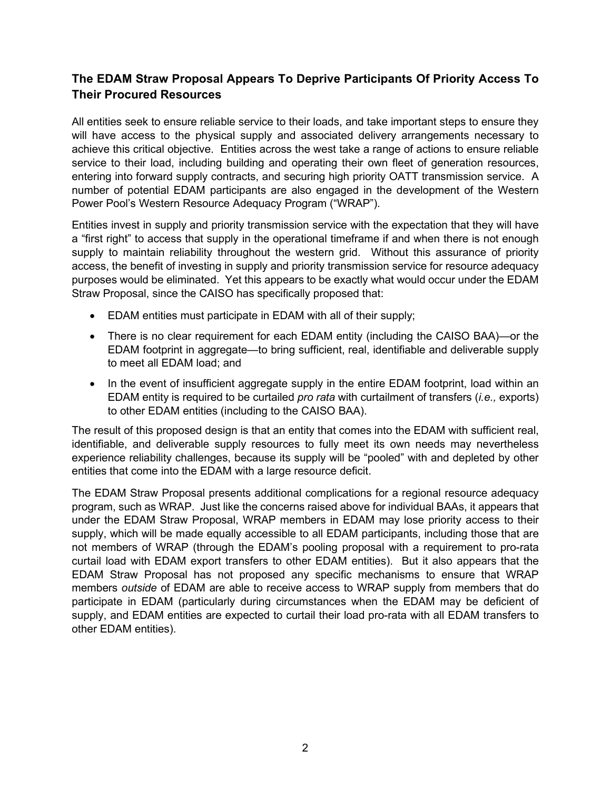## **The EDAM Straw Proposal Appears To Deprive Participants Of Priority Access To Their Procured Resources**

All entities seek to ensure reliable service to their loads, and take important steps to ensure they will have access to the physical supply and associated delivery arrangements necessary to achieve this critical objective. Entities across the west take a range of actions to ensure reliable service to their load, including building and operating their own fleet of generation resources, entering into forward supply contracts, and securing high priority OATT transmission service. A number of potential EDAM participants are also engaged in the development of the Western Power Pool's Western Resource Adequacy Program ("WRAP").

Entities invest in supply and priority transmission service with the expectation that they will have a "first right" to access that supply in the operational timeframe if and when there is not enough supply to maintain reliability throughout the western grid. Without this assurance of priority access, the benefit of investing in supply and priority transmission service for resource adequacy purposes would be eliminated. Yet this appears to be exactly what would occur under the EDAM Straw Proposal, since the CAISO has specifically proposed that:

- EDAM entities must participate in EDAM with all of their supply;
- There is no clear requirement for each EDAM entity (including the CAISO BAA)—or the EDAM footprint in aggregate—to bring sufficient, real, identifiable and deliverable supply to meet all EDAM load; and
- In the event of insufficient aggregate supply in the entire EDAM footprint, load within an EDAM entity is required to be curtailed *pro rata* with curtailment of transfers (*i.e.,* exports) to other EDAM entities (including to the CAISO BAA).

The result of this proposed design is that an entity that comes into the EDAM with sufficient real, identifiable, and deliverable supply resources to fully meet its own needs may nevertheless experience reliability challenges, because its supply will be "pooled" with and depleted by other entities that come into the EDAM with a large resource deficit.

The EDAM Straw Proposal presents additional complications for a regional resource adequacy program, such as WRAP. Just like the concerns raised above for individual BAAs, it appears that under the EDAM Straw Proposal, WRAP members in EDAM may lose priority access to their supply, which will be made equally accessible to all EDAM participants, including those that are not members of WRAP (through the EDAM's pooling proposal with a requirement to pro-rata curtail load with EDAM export transfers to other EDAM entities). But it also appears that the EDAM Straw Proposal has not proposed any specific mechanisms to ensure that WRAP members *outside* of EDAM are able to receive access to WRAP supply from members that do participate in EDAM (particularly during circumstances when the EDAM may be deficient of supply, and EDAM entities are expected to curtail their load pro-rata with all EDAM transfers to other EDAM entities).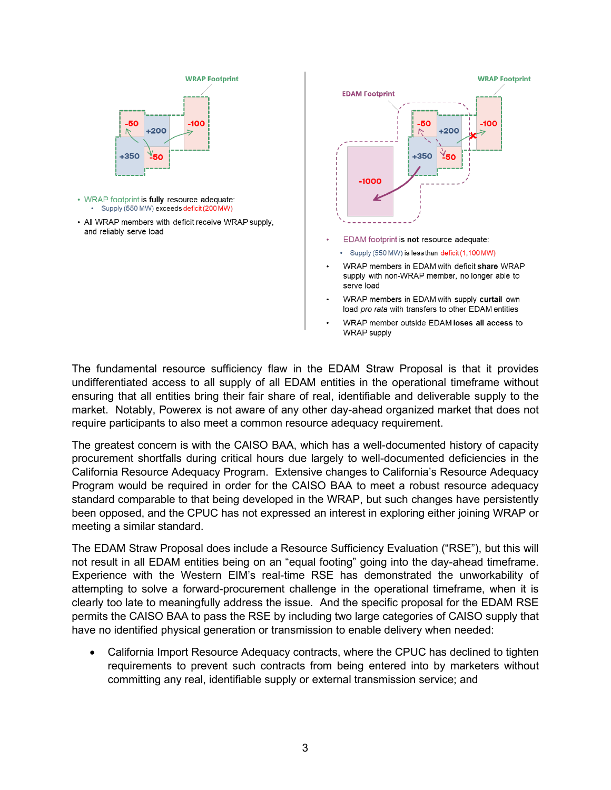



- EDAM footprint is not resource adequate:
	- · Supply (550 MW) is less than deficit (1,100 MW)
- WRAP members in EDAM with deficit share WRAP supply with non-WRAP member, no longer able to serve load
- WRAP members in EDAM with supply curtail own load pro rata with transfers to other EDAM entities
- WRAP member outside EDAM loses all access to **WRAP** supply

The fundamental resource sufficiency flaw in the EDAM Straw Proposal is that it provides undifferentiated access to all supply of all EDAM entities in the operational timeframe without ensuring that all entities bring their fair share of real, identifiable and deliverable supply to the market. Notably, Powerex is not aware of any other day-ahead organized market that does not require participants to also meet a common resource adequacy requirement.

The greatest concern is with the CAISO BAA, which has a well-documented history of capacity procurement shortfalls during critical hours due largely to well-documented deficiencies in the California Resource Adequacy Program. Extensive changes to California's Resource Adequacy Program would be required in order for the CAISO BAA to meet a robust resource adequacy standard comparable to that being developed in the WRAP, but such changes have persistently been opposed, and the CPUC has not expressed an interest in exploring either joining WRAP or meeting a similar standard.

The EDAM Straw Proposal does include a Resource Sufficiency Evaluation ("RSE"), but this will not result in all EDAM entities being on an "equal footing" going into the day-ahead timeframe. Experience with the Western EIM's real-time RSE has demonstrated the unworkability of attempting to solve a forward-procurement challenge in the operational timeframe, when it is clearly too late to meaningfully address the issue. And the specific proposal for the EDAM RSE permits the CAISO BAA to pass the RSE by including two large categories of CAISO supply that have no identified physical generation or transmission to enable delivery when needed:

• California Import Resource Adequacy contracts, where the CPUC has declined to tighten requirements to prevent such contracts from being entered into by marketers without committing any real, identifiable supply or external transmission service; and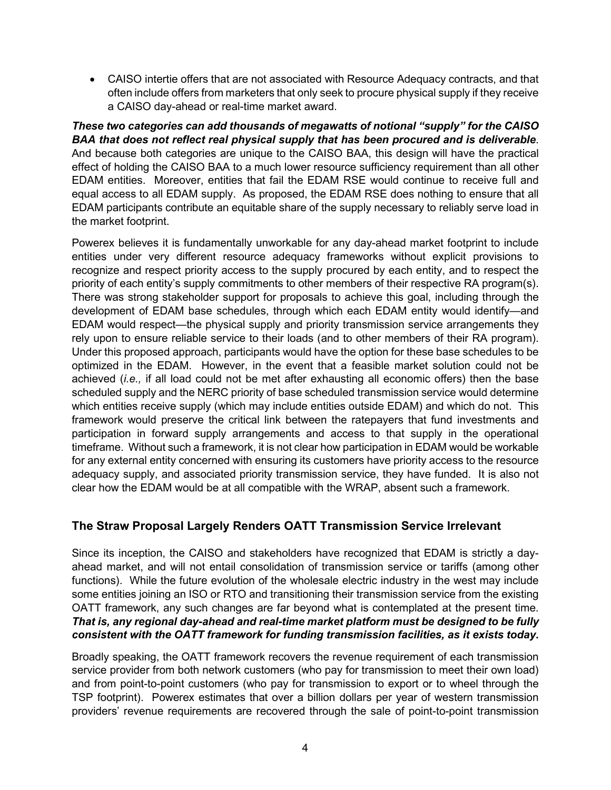• CAISO intertie offers that are not associated with Resource Adequacy contracts, and that often include offers from marketers that only seek to procure physical supply if they receive a CAISO day-ahead or real-time market award.

*These two categories can add thousands of megawatts of notional "supply" for the CAISO BAA that does not reflect real physical supply that has been procured and is deliverable*. And because both categories are unique to the CAISO BAA, this design will have the practical effect of holding the CAISO BAA to a much lower resource sufficiency requirement than all other EDAM entities. Moreover, entities that fail the EDAM RSE would continue to receive full and equal access to all EDAM supply. As proposed, the EDAM RSE does nothing to ensure that all EDAM participants contribute an equitable share of the supply necessary to reliably serve load in the market footprint.

Powerex believes it is fundamentally unworkable for any day-ahead market footprint to include entities under very different resource adequacy frameworks without explicit provisions to recognize and respect priority access to the supply procured by each entity, and to respect the priority of each entity's supply commitments to other members of their respective RA program(s). There was strong stakeholder support for proposals to achieve this goal, including through the development of EDAM base schedules, through which each EDAM entity would identify—and EDAM would respect—the physical supply and priority transmission service arrangements they rely upon to ensure reliable service to their loads (and to other members of their RA program). Under this proposed approach, participants would have the option for these base schedules to be optimized in the EDAM. However, in the event that a feasible market solution could not be achieved (*i.e.,* if all load could not be met after exhausting all economic offers) then the base scheduled supply and the NERC priority of base scheduled transmission service would determine which entities receive supply (which may include entities outside EDAM) and which do not. This framework would preserve the critical link between the ratepayers that fund investments and participation in forward supply arrangements and access to that supply in the operational timeframe. Without such a framework, it is not clear how participation in EDAM would be workable for any external entity concerned with ensuring its customers have priority access to the resource adequacy supply, and associated priority transmission service, they have funded. It is also not clear how the EDAM would be at all compatible with the WRAP, absent such a framework.

## **The Straw Proposal Largely Renders OATT Transmission Service Irrelevant**

Since its inception, the CAISO and stakeholders have recognized that EDAM is strictly a dayahead market, and will not entail consolidation of transmission service or tariffs (among other functions). While the future evolution of the wholesale electric industry in the west may include some entities joining an ISO or RTO and transitioning their transmission service from the existing OATT framework, any such changes are far beyond what is contemplated at the present time. *That is, any regional day-ahead and real-time market platform must be designed to be fully consistent with the OATT framework for funding transmission facilities, as it exists today.*

Broadly speaking, the OATT framework recovers the revenue requirement of each transmission service provider from both network customers (who pay for transmission to meet their own load) and from point-to-point customers (who pay for transmission to export or to wheel through the TSP footprint). Powerex estimates that over a billion dollars per year of western transmission providers' revenue requirements are recovered through the sale of point-to-point transmission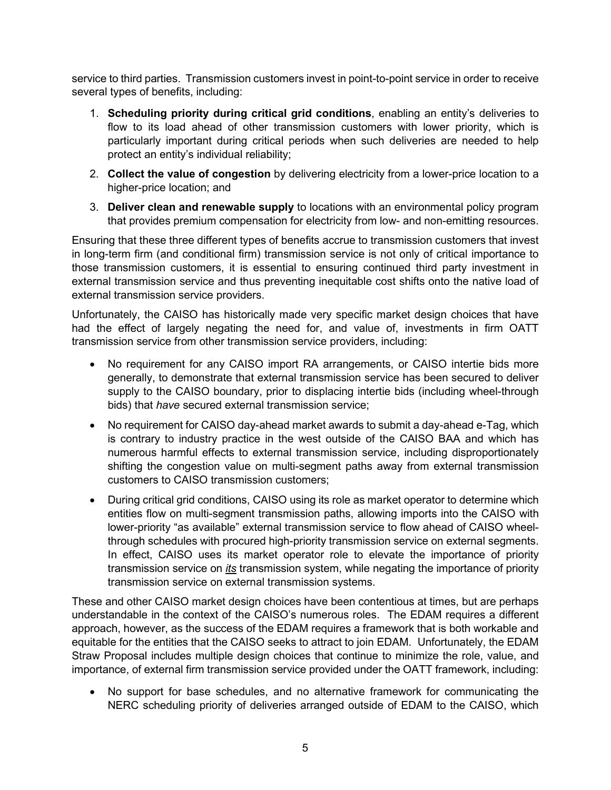service to third parties. Transmission customers invest in point-to-point service in order to receive several types of benefits, including:

- 1. **Scheduling priority during critical grid conditions**, enabling an entity's deliveries to flow to its load ahead of other transmission customers with lower priority, which is particularly important during critical periods when such deliveries are needed to help protect an entity's individual reliability;
- 2. **Collect the value of congestion** by delivering electricity from a lower-price location to a higher-price location; and
- 3. **Deliver clean and renewable supply** to locations with an environmental policy program that provides premium compensation for electricity from low- and non-emitting resources.

Ensuring that these three different types of benefits accrue to transmission customers that invest in long-term firm (and conditional firm) transmission service is not only of critical importance to those transmission customers, it is essential to ensuring continued third party investment in external transmission service and thus preventing inequitable cost shifts onto the native load of external transmission service providers.

Unfortunately, the CAISO has historically made very specific market design choices that have had the effect of largely negating the need for, and value of, investments in firm OATT transmission service from other transmission service providers, including:

- No requirement for any CAISO import RA arrangements, or CAISO intertie bids more generally, to demonstrate that external transmission service has been secured to deliver supply to the CAISO boundary, prior to displacing intertie bids (including wheel-through bids) that *have* secured external transmission service;
- No requirement for CAISO day-ahead market awards to submit a day-ahead e-Tag, which is contrary to industry practice in the west outside of the CAISO BAA and which has numerous harmful effects to external transmission service, including disproportionately shifting the congestion value on multi-segment paths away from external transmission customers to CAISO transmission customers;
- During critical grid conditions, CAISO using its role as market operator to determine which entities flow on multi-segment transmission paths, allowing imports into the CAISO with lower-priority "as available" external transmission service to flow ahead of CAISO wheelthrough schedules with procured high-priority transmission service on external segments. In effect, CAISO uses its market operator role to elevate the importance of priority transmission service on *its* transmission system, while negating the importance of priority transmission service on external transmission systems.

These and other CAISO market design choices have been contentious at times, but are perhaps understandable in the context of the CAISO's numerous roles. The EDAM requires a different approach, however, as the success of the EDAM requires a framework that is both workable and equitable for the entities that the CAISO seeks to attract to join EDAM. Unfortunately, the EDAM Straw Proposal includes multiple design choices that continue to minimize the role, value, and importance, of external firm transmission service provided under the OATT framework, including:

• No support for base schedules, and no alternative framework for communicating the NERC scheduling priority of deliveries arranged outside of EDAM to the CAISO, which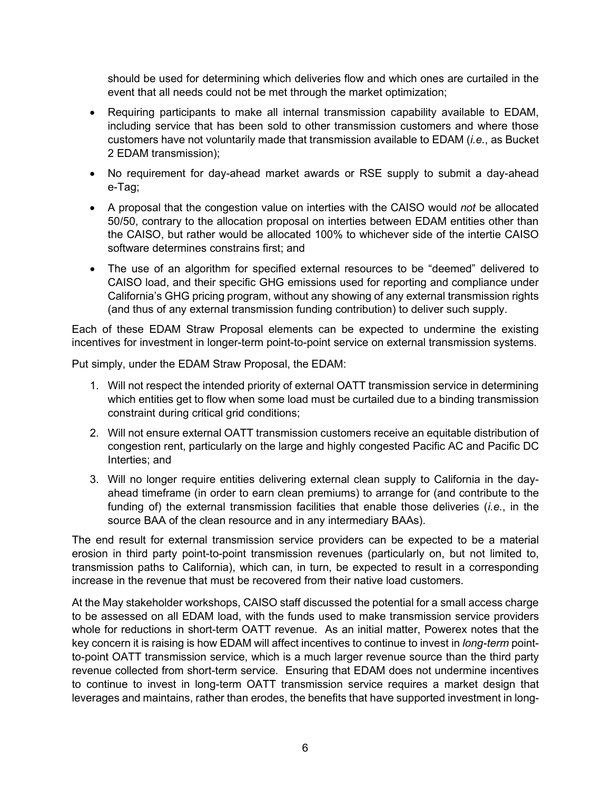should be used for determining which deliveries flow and which ones are curtailed in the event that all needs could not be met through the market optimization;

- Requiring participants to make all internal transmission capability available to EDAM, including service that has been sold to other transmission customers and where those customers have not voluntarily made that transmission available to EDAM (*i.e.*, as Bucket 2 EDAM transmission);
- No requirement for day-ahead market awards or RSE supply to submit a day-ahead e-Tag;
- A proposal that the congestion value on interties with the CAISO would *not* be allocated 50/50, contrary to the allocation proposal on interties between EDAM entities other than the CAISO, but rather would be allocated 100% to whichever side of the intertie CAISO software determines constrains first; and
- The use of an algorithm for specified external resources to be "deemed" delivered to CAISO load, and their specific GHG emissions used for reporting and compliance under California's GHG pricing program, without any showing of any external transmission rights (and thus of any external transmission funding contribution) to deliver such supply.

Each of these EDAM Straw Proposal elements can be expected to undermine the existing incentives for investment in longer-term point-to-point service on external transmission systems.

Put simply, under the EDAM Straw Proposal, the EDAM:

- 1. Will not respect the intended priority of external OATT transmission service in determining which entities get to flow when some load must be curtailed due to a binding transmission constraint during critical grid conditions;
- 2. Will not ensure external OATT transmission customers receive an equitable distribution of congestion rent, particularly on the large and highly congested Pacific AC and Pacific DC Interties; and
- 3. Will no longer require entities delivering external clean supply to California in the dayahead timeframe (in order to earn clean premiums) to arrange for (and contribute to the funding of) the external transmission facilities that enable those deliveries (*i.e.*, in the source BAA of the clean resource and in any intermediary BAAs).

The end result for external transmission service providers can be expected to be a material erosion in third party point-to-point transmission revenues (particularly on, but not limited to, transmission paths to California), which can, in turn, be expected to result in a corresponding increase in the revenue that must be recovered from their native load customers.

At the May stakeholder workshops, CAISO staff discussed the potential for a small access charge to be assessed on all EDAM load, with the funds used to make transmission service providers whole for reductions in short-term OATT revenue. As an initial matter, Powerex notes that the key concern it is raising is how EDAM will affect incentives to continue to invest in *long-term* pointto-point OATT transmission service, which is a much larger revenue source than the third party revenue collected from short-term service. Ensuring that EDAM does not undermine incentives to continue to invest in long-term OATT transmission service requires a market design that leverages and maintains, rather than erodes, the benefits that have supported investment in long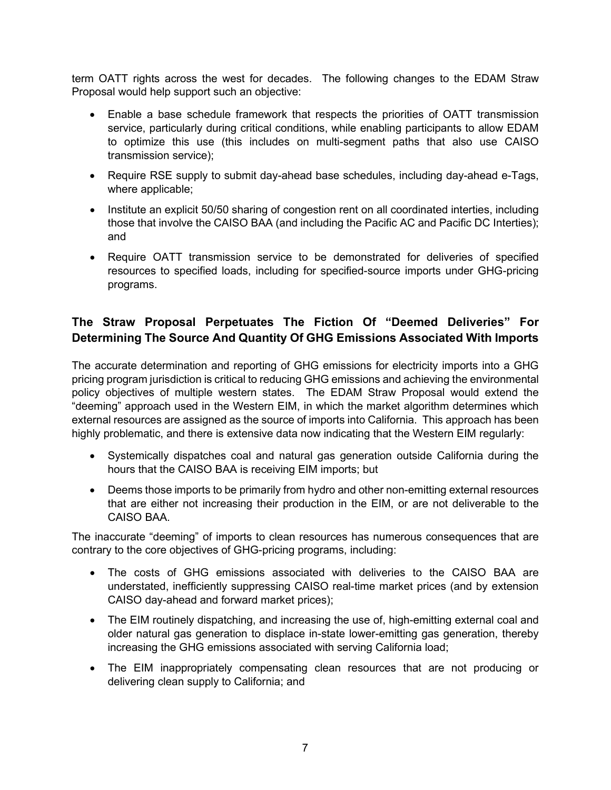term OATT rights across the west for decades. The following changes to the EDAM Straw Proposal would help support such an objective:

- Enable a base schedule framework that respects the priorities of OATT transmission service, particularly during critical conditions, while enabling participants to allow EDAM to optimize this use (this includes on multi-segment paths that also use CAISO transmission service);
- Require RSE supply to submit day-ahead base schedules, including day-ahead e-Tags, where applicable;
- Institute an explicit 50/50 sharing of congestion rent on all coordinated interties, including those that involve the CAISO BAA (and including the Pacific AC and Pacific DC Interties); and
- Require OATT transmission service to be demonstrated for deliveries of specified resources to specified loads, including for specified-source imports under GHG-pricing programs.

## **The Straw Proposal Perpetuates The Fiction Of "Deemed Deliveries" For Determining The Source And Quantity Of GHG Emissions Associated With Imports**

The accurate determination and reporting of GHG emissions for electricity imports into a GHG pricing program jurisdiction is critical to reducing GHG emissions and achieving the environmental policy objectives of multiple western states. The EDAM Straw Proposal would extend the "deeming" approach used in the Western EIM, in which the market algorithm determines which external resources are assigned as the source of imports into California. This approach has been highly problematic, and there is extensive data now indicating that the Western EIM regularly:

- Systemically dispatches coal and natural gas generation outside California during the hours that the CAISO BAA is receiving EIM imports; but
- Deems those imports to be primarily from hydro and other non-emitting external resources that are either not increasing their production in the EIM, or are not deliverable to the CAISO BAA.

The inaccurate "deeming" of imports to clean resources has numerous consequences that are contrary to the core objectives of GHG-pricing programs, including:

- The costs of GHG emissions associated with deliveries to the CAISO BAA are understated, inefficiently suppressing CAISO real-time market prices (and by extension CAISO day-ahead and forward market prices);
- The EIM routinely dispatching, and increasing the use of, high-emitting external coal and older natural gas generation to displace in-state lower-emitting gas generation, thereby increasing the GHG emissions associated with serving California load;
- The EIM inappropriately compensating clean resources that are not producing or delivering clean supply to California; and